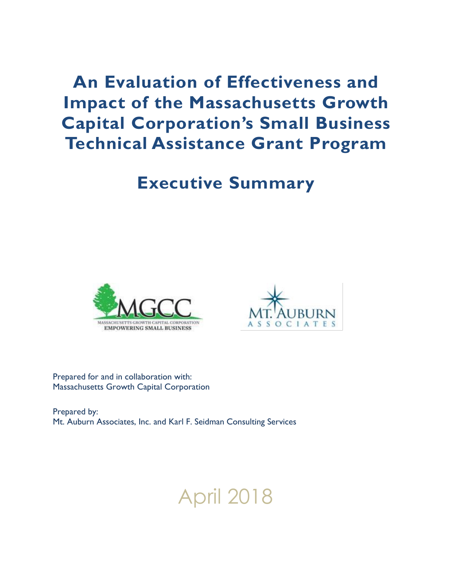**An Evaluation of Effectiveness and Impact of the Massachusetts Growth Capital Corporation's Small Business Technical Assistance Grant Program**

# **Executive Summary**





Prepared for and in collaboration with: Massachusetts Growth Capital Corporation

Prepared by: Mt. Auburn Associates, Inc. and Karl F. Seidman Consulting Services

# April 2018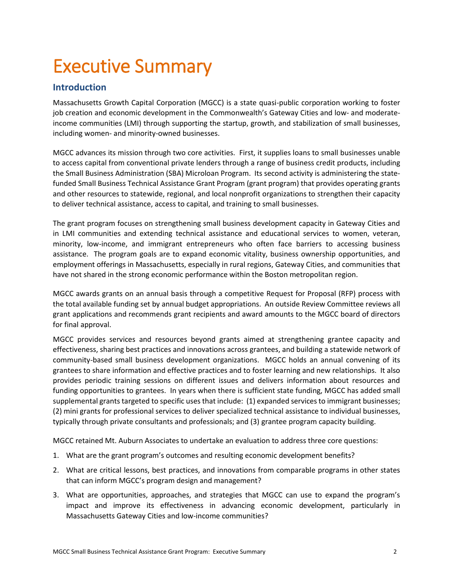# Executive Summary

# **Introduction**

Massachusetts Growth Capital Corporation (MGCC) is a state quasi-public corporation working to foster job creation and economic development in the Commonwealth's Gateway Cities and low- and moderateincome communities (LMI) through supporting the startup, growth, and stabilization of small businesses, including women- and minority-owned businesses.

MGCC advances its mission through two core activities. First, it supplies loans to small businesses unable to access capital from conventional private lenders through a range of business credit products, including the Small Business Administration (SBA) Microloan Program. Its second activity is administering the statefunded Small Business Technical Assistance Grant Program (grant program) that provides operating grants and other resources to statewide, regional, and local nonprofit organizations to strengthen their capacity to deliver technical assistance, access to capital, and training to small businesses.

The grant program focuses on strengthening small business development capacity in Gateway Cities and in LMI communities and extending technical assistance and educational services to women, veteran, minority, low-income, and immigrant entrepreneurs who often face barriers to accessing business assistance. The program goals are to expand economic vitality, business ownership opportunities, and employment offerings in Massachusetts, especially in rural regions, Gateway Cities, and communities that have not shared in the strong economic performance within the Boston metropolitan region.

MGCC awards grants on an annual basis through a competitive Request for Proposal (RFP) process with the total available funding set by annual budget appropriations. An outside Review Committee reviews all grant applications and recommends grant recipients and award amounts to the MGCC board of directors for final approval.

MGCC provides services and resources beyond grants aimed at strengthening grantee capacity and effectiveness, sharing best practices and innovations across grantees, and building a statewide network of community-based small business development organizations. MGCC holds an annual convening of its grantees to share information and effective practices and to foster learning and new relationships. It also provides periodic training sessions on different issues and delivers information about resources and funding opportunities to grantees. In years when there is sufficient state funding, MGCC has added small supplemental grants targeted to specific uses that include: (1) expanded services to immigrant businesses; (2) mini grants for professional services to deliver specialized technical assistance to individual businesses, typically through private consultants and professionals; and (3) grantee program capacity building.

MGCC retained Mt. Auburn Associates to undertake an evaluation to address three core questions:

- 1. What are the grant program's outcomes and resulting economic development benefits?
- 2. What are critical lessons, best practices, and innovations from comparable programs in other states that can inform MGCC's program design and management?
- 3. What are opportunities, approaches, and strategies that MGCC can use to expand the program's impact and improve its effectiveness in advancing economic development, particularly in Massachusetts Gateway Cities and low-income communities?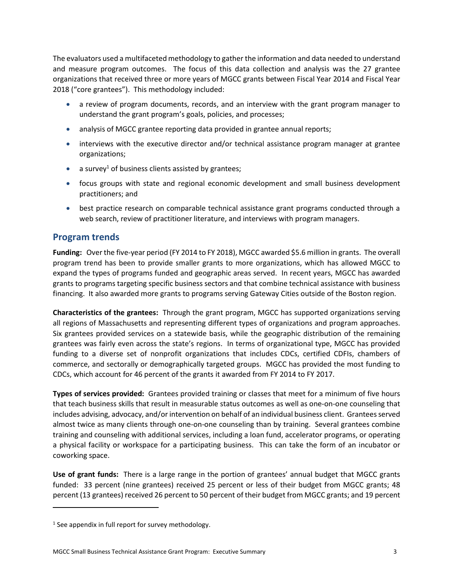The evaluators used a multifaceted methodology to gather the information and data needed to understand and measure program outcomes. The focus of this data collection and analysis was the 27 grantee organizations that received three or more years of MGCC grants between Fiscal Year 2014 and Fiscal Year 2018 ("core grantees"). This methodology included:

- a review of program documents, records, and an interview with the grant program manager to understand the grant program's goals, policies, and processes;
- analysis of MGCC grantee reporting data provided in grantee annual reports;
- interviews with the executive director and/or technical assistance program manager at grantee organizations;
- a survey<sup>1</sup> of business clients assisted by grantees;
- focus groups with state and regional economic development and small business development practitioners; and
- **•** best practice research on comparable technical assistance grant programs conducted through a web search, review of practitioner literature, and interviews with program managers.

#### **Program trends**

**Funding:** Over the five-year period (FY 2014 to FY 2018), MGCC awarded \$5.6 million in grants. The overall program trend has been to provide smaller grants to more organizations, which has allowed MGCC to expand the types of programs funded and geographic areas served. In recent years, MGCC has awarded grants to programs targeting specific business sectors and that combine technical assistance with business financing. It also awarded more grants to programs serving Gateway Cities outside of the Boston region.

**Characteristics of the grantees:** Through the grant program, MGCC has supported organizations serving all regions of Massachusetts and representing different types of organizations and program approaches. Six grantees provided services on a statewide basis, while the geographic distribution of the remaining grantees was fairly even across the state's regions. In terms of organizational type, MGCC has provided funding to a diverse set of nonprofit organizations that includes CDCs, certified CDFIs, chambers of commerce, and sectorally or demographically targeted groups. MGCC has provided the most funding to CDCs, which account for 46 percent of the grants it awarded from FY 2014 to FY 2017.

**Types of services provided:** Grantees provided training or classes that meet for a minimum of five hours that teach business skills that result in measurable status outcomes as well as one-on-one counseling that includes advising, advocacy, and/or intervention on behalf of an individual business client. Grantees served almost twice as many clients through one-on-one counseling than by training. Several grantees combine training and counseling with additional services, including a loan fund, accelerator programs, or operating a physical facility or workspace for a participating business. This can take the form of an incubator or coworking space.

**Use of grant funds:** There is a large range in the portion of grantees' annual budget that MGCC grants funded: 33 percent (nine grantees) received 25 percent or less of their budget from MGCC grants; 48 percent (13 grantees) received 26 percent to 50 percent of their budget from MGCC grants; and 19 percent

 $\overline{\phantom{a}}$ 

 $<sup>1</sup>$  See appendix in full report for survey methodology.</sup>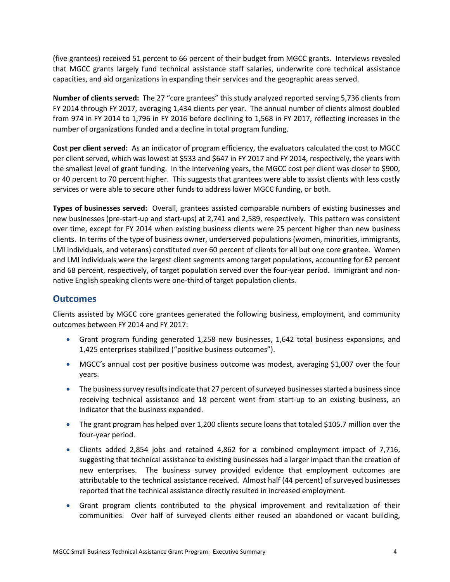(five grantees) received 51 percent to 66 percent of their budget from MGCC grants. Interviews revealed that MGCC grants largely fund technical assistance staff salaries, underwrite core technical assistance capacities, and aid organizations in expanding their services and the geographic areas served.

**Number of clients served:** The 27 "core grantees" this study analyzed reported serving 5,736 clients from FY 2014 through FY 2017, averaging 1,434 clients per year. The annual number of clients almost doubled from 974 in FY 2014 to 1,796 in FY 2016 before declining to 1,568 in FY 2017, reflecting increases in the number of organizations funded and a decline in total program funding.

**Cost per client served:** As an indicator of program efficiency, the evaluators calculated the cost to MGCC per client served, which was lowest at \$533 and \$647 in FY 2017 and FY 2014, respectively, the years with the smallest level of grant funding. In the intervening years, the MGCC cost per client was closer to \$900, or 40 percent to 70 percent higher. This suggests that grantees were able to assist clients with less costly services or were able to secure other funds to address lower MGCC funding, or both.

**Types of businesses served:** Overall, grantees assisted comparable numbers of existing businesses and new businesses (pre-start-up and start-ups) at 2,741 and 2,589, respectively. This pattern was consistent over time, except for FY 2014 when existing business clients were 25 percent higher than new business clients. In terms of the type of business owner, underserved populations (women, minorities, immigrants, LMI individuals, and veterans) constituted over 60 percent of clients for all but one core grantee. Women and LMI individuals were the largest client segments among target populations, accounting for 62 percent and 68 percent, respectively, of target population served over the four-year period. Immigrant and nonnative English speaking clients were one-third of target population clients.

### **Outcomes**

Clients assisted by MGCC core grantees generated the following business, employment, and community outcomes between FY 2014 and FY 2017:

- Grant program funding generated 1,258 new businesses, 1,642 total business expansions, and 1,425 enterprises stabilized ("positive business outcomes").
- MGCC's annual cost per positive business outcome was modest, averaging \$1,007 over the four years.
- The business survey results indicate that 27 percent of surveyed businesses started a business since receiving technical assistance and 18 percent went from start-up to an existing business, an indicator that the business expanded.
- The grant program has helped over 1,200 clients secure loans that totaled \$105.7 million over the four-year period.
- Clients added 2,854 jobs and retained 4,862 for a combined employment impact of 7,716, suggesting that technical assistance to existing businesses had a larger impact than the creation of new enterprises. The business survey provided evidence that employment outcomes are attributable to the technical assistance received. Almost half (44 percent) of surveyed businesses reported that the technical assistance directly resulted in increased employment.
- Grant program clients contributed to the physical improvement and revitalization of their communities. Over half of surveyed clients either reused an abandoned or vacant building,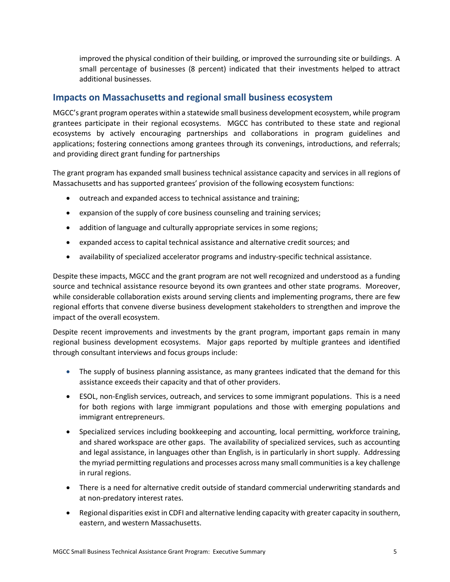improved the physical condition of their building, or improved the surrounding site or buildings. A small percentage of businesses (8 percent) indicated that their investments helped to attract additional businesses.

### **Impacts on Massachusetts and regional small business ecosystem**

MGCC's grant program operates within a statewide small business development ecosystem, while program grantees participate in their regional ecosystems. MGCC has contributed to these state and regional ecosystems by actively encouraging partnerships and collaborations in program guidelines and applications; fostering connections among grantees through its convenings, introductions, and referrals; and providing direct grant funding for partnerships

The grant program has expanded small business technical assistance capacity and services in all regions of Massachusetts and has supported grantees' provision of the following ecosystem functions:

- $\bullet$  outreach and expanded access to technical assistance and training;
- expansion of the supply of core business counseling and training services;
- addition of language and culturally appropriate services in some regions;
- expanded access to capital technical assistance and alternative credit sources; and
- availability of specialized accelerator programs and industry-specific technical assistance.

Despite these impacts, MGCC and the grant program are not well recognized and understood as a funding source and technical assistance resource beyond its own grantees and other state programs. Moreover, while considerable collaboration exists around serving clients and implementing programs, there are few regional efforts that convene diverse business development stakeholders to strengthen and improve the impact of the overall ecosystem.

Despite recent improvements and investments by the grant program, important gaps remain in many regional business development ecosystems. Major gaps reported by multiple grantees and identified through consultant interviews and focus groups include:

- The supply of business planning assistance, as many grantees indicated that the demand for this assistance exceeds their capacity and that of other providers.
- ESOL, non-English services, outreach, and services to some immigrant populations. This is a need for both regions with large immigrant populations and those with emerging populations and immigrant entrepreneurs.
- Specialized services including bookkeeping and accounting, local permitting, workforce training, and shared workspace are other gaps. The availability of specialized services, such as accounting and legal assistance, in languages other than English, is in particularly in short supply. Addressing the myriad permitting regulations and processes across many small communities is a key challenge in rural regions.
- There is a need for alternative credit outside of standard commercial underwriting standards and at non-predatory interest rates.
- Regional disparities exist in CDFI and alternative lending capacity with greater capacity in southern, eastern, and western Massachusetts.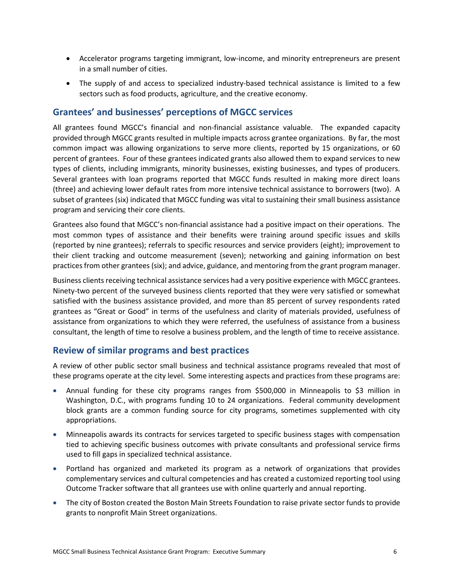- Accelerator programs targeting immigrant, low-income, and minority entrepreneurs are present in a small number of cities.
- The supply of and access to specialized industry-based technical assistance is limited to a few sectors such as food products, agriculture, and the creative economy.

## **Grantees' and businesses' perceptions of MGCC services**

All grantees found MGCC's financial and non-financial assistance valuable. The expanded capacity provided through MGCC grants resulted in multiple impacts across grantee organizations. By far, the most common impact was allowing organizations to serve more clients, reported by 15 organizations, or 60 percent of grantees. Four of these grantees indicated grants also allowed them to expand services to new types of clients, including immigrants, minority businesses, existing businesses, and types of producers. Several grantees with loan programs reported that MGCC funds resulted in making more direct loans (three) and achieving lower default rates from more intensive technical assistance to borrowers (two). A subset of grantees (six) indicated that MGCC funding was vital to sustaining their small business assistance program and servicing their core clients.

Grantees also found that MGCC's non-financial assistance had a positive impact on their operations. The most common types of assistance and their benefits were training around specific issues and skills (reported by nine grantees); referrals to specific resources and service providers (eight); improvement to their client tracking and outcome measurement (seven); networking and gaining information on best practices from other grantees (six); and advice, guidance, and mentoring from the grant program manager.

Business clients receiving technical assistance services had a very positive experience with MGCC grantees. Ninety-two percent of the surveyed business clients reported that they were very satisfied or somewhat satisfied with the business assistance provided, and more than 85 percent of survey respondents rated grantees as "Great or Good" in terms of the usefulness and clarity of materials provided, usefulness of assistance from organizations to which they were referred, the usefulness of assistance from a business consultant, the length of time to resolve a business problem, and the length of time to receive assistance.

### **Review of similar programs and best practices**

A review of other public sector small business and technical assistance programs revealed that most of these programs operate at the city level. Some interesting aspects and practices from these programs are:

- Annual funding for these city programs ranges from \$500,000 in Minneapolis to \$3 million in Washington, D.C., with programs funding 10 to 24 organizations. Federal community development block grants are a common funding source for city programs, sometimes supplemented with city appropriations.
- Minneapolis awards its contracts for services targeted to specific business stages with compensation tied to achieving specific business outcomes with private consultants and professional service firms used to fill gaps in specialized technical assistance.
- Portland has organized and marketed its program as a network of organizations that provides complementary services and cultural competencies and has created a customized reporting tool using Outcome Tracker software that all grantees use with online quarterly and annual reporting.
- The city of Boston created the Boston Main Streets Foundation to raise private sector funds to provide grants to nonprofit Main Street organizations.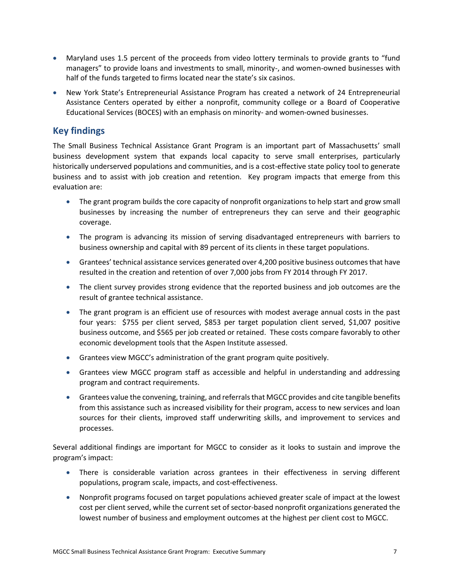- Maryland uses 1.5 percent of the proceeds from video lottery terminals to provide grants to "fund managers" to provide loans and investments to small, minority-, and women-owned businesses with half of the funds targeted to firms located near the state's six casinos.
- New York State's Entrepreneurial Assistance Program has created a network of 24 Entrepreneurial Assistance Centers operated by either a nonprofit, community college or a Board of Cooperative Educational Services (BOCES) with an emphasis on minority- and women-owned businesses.

# **Key findings**

The Small Business Technical Assistance Grant Program is an important part of Massachusetts' small business development system that expands local capacity to serve small enterprises, particularly historically underserved populations and communities, and is a cost-effective state policy tool to generate business and to assist with job creation and retention. Key program impacts that emerge from this evaluation are:

- The grant program builds the core capacity of nonprofit organizations to help start and grow small businesses by increasing the number of entrepreneurs they can serve and their geographic coverage.
- The program is advancing its mission of serving disadvantaged entrepreneurs with barriers to business ownership and capital with 89 percent of its clients in these target populations.
- Grantees' technical assistance services generated over 4,200 positive business outcomes that have resulted in the creation and retention of over 7,000 jobs from FY 2014 through FY 2017.
- The client survey provides strong evidence that the reported business and job outcomes are the result of grantee technical assistance.
- The grant program is an efficient use of resources with modest average annual costs in the past four years: \$755 per client served, \$853 per target population client served, \$1,007 positive business outcome, and \$565 per job created or retained. These costs compare favorably to other economic development tools that the Aspen Institute assessed.
- Grantees view MGCC's administration of the grant program quite positively.
- Grantees view MGCC program staff as accessible and helpful in understanding and addressing program and contract requirements.
- Grantees value the convening, training, and referrals that MGCC provides and cite tangible benefits from this assistance such as increased visibility for their program, access to new services and loan sources for their clients, improved staff underwriting skills, and improvement to services and processes.

Several additional findings are important for MGCC to consider as it looks to sustain and improve the program's impact:

- There is considerable variation across grantees in their effectiveness in serving different populations, program scale, impacts, and cost-effectiveness.
- Nonprofit programs focused on target populations achieved greater scale of impact at the lowest cost per client served, while the current set of sector-based nonprofit organizations generated the lowest number of business and employment outcomes at the highest per client cost to MGCC.